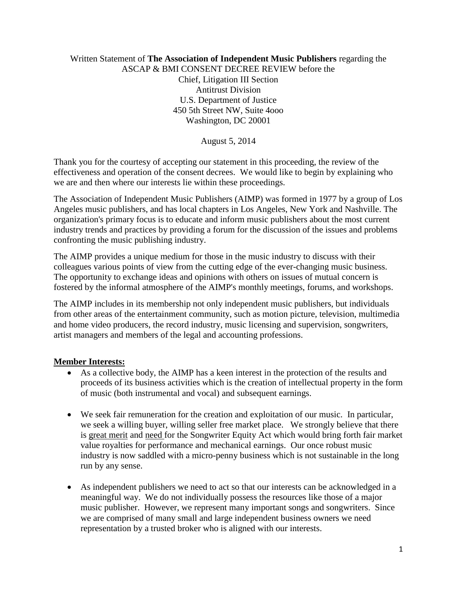Written Statement of **The Association of Independent Music Publishers** regarding the ASCAP & BMI CONSENT DECREE REVIEW before the Chief, Litigation III Section Antitrust Division U.S. Department of Justice 450 5th Street NW, Suite 4ooo Washington, DC 20001

August 5, 2014

Thank you for the courtesy of accepting our statement in this proceeding, the review of the effectiveness and operation of the consent decrees. We would like to begin by explaining who we are and then where our interests lie within these proceedings.

The Association of Independent Music Publishers (AIMP) was formed in 1977 by a group of Los Angeles music publishers, and has local chapters in Los Angeles, New York and Nashville. The organization's primary focus is to educate and inform music publishers about the most current industry trends and practices by providing a forum for the discussion of the issues and problems confronting the music publishing industry.

The AIMP provides a unique medium for those in the music industry to discuss with their colleagues various points of view from the cutting edge of the ever-changing music business. The opportunity to exchange ideas and opinions with others on issues of mutual concern is fostered by the informal atmosphere of the AIMP's monthly meetings, forums, and workshops.

The AIMP includes in its membership not only independent music publishers, but individuals from other areas of the entertainment community, such as motion picture, television, multimedia and home video producers, the record industry, music licensing and supervision, songwriters, artist managers and members of the legal and accounting professions.

## **Member Interests:**

- As a collective body, the AIMP has a keen interest in the protection of the results and proceeds of its business activities which is the creation of intellectual property in the form of music (both instrumental and vocal) and subsequent earnings.
- We seek fair remuneration for the creation and exploitation of our music. In particular, we seek a willing buyer, willing seller free market place. We strongly believe that there is great merit and need for the Songwriter Equity Act which would bring forth fair market value royalties for performance and mechanical earnings. Our once robust music industry is now saddled with a micro-penny business which is not sustainable in the long run by any sense.
- As independent publishers we need to act so that our interests can be acknowledged in a meaningful way. We do not individually possess the resources like those of a major music publisher. However, we represent many important songs and songwriters. Since we are comprised of many small and large independent business owners we need representation by a trusted broker who is aligned with our interests.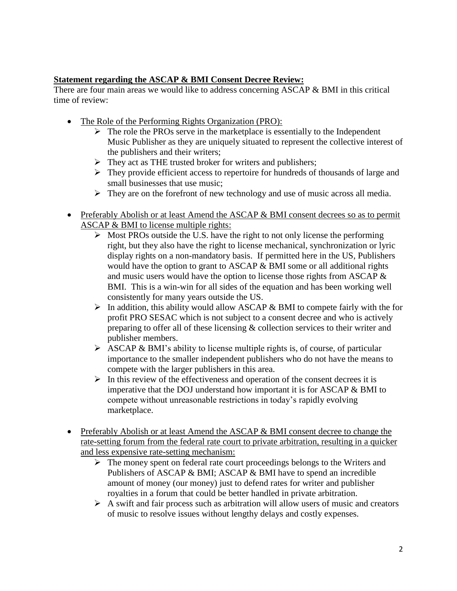## **Statement regarding the ASCAP & BMI Consent Decree Review:**

There are four main areas we would like to address concerning ASCAP & BMI in this critical time of review:

- The Role of the Performing Rights Organization (PRO):
	- $\triangleright$  The role the PROs serve in the marketplace is essentially to the Independent Music Publisher as they are uniquely situated to represent the collective interest of the publishers and their writers;
	- $\triangleright$  They act as THE trusted broker for writers and publishers;
	- $\triangleright$  They provide efficient access to repertoire for hundreds of thousands of large and small businesses that use music;
	- $\triangleright$  They are on the forefront of new technology and use of music across all media.
- Preferably Abolish or at least Amend the ASCAP & BMI consent decrees so as to permit ASCAP & BMI to license multiple rights:
	- $\triangleright$  Most PROs outside the U.S. have the right to not only license the performing right, but they also have the right to license mechanical, synchronization or lyric display rights on a non-mandatory basis. If permitted here in the US, Publishers would have the option to grant to ASCAP & BMI some or all additional rights and music users would have the option to license those rights from ASCAP & BMI. This is a win-win for all sides of the equation and has been working well consistently for many years outside the US.
	- $\triangleright$  In addition, this ability would allow ASCAP & BMI to compete fairly with the for profit PRO SESAC which is not subject to a consent decree and who is actively preparing to offer all of these licensing & collection services to their writer and publisher members.
	- $\triangleright$  ASCAP & BMI's ability to license multiple rights is, of course, of particular importance to the smaller independent publishers who do not have the means to compete with the larger publishers in this area.
	- $\triangleright$  In this review of the effectiveness and operation of the consent decrees it is imperative that the DOJ understand how important it is for ASCAP & BMI to compete without unreasonable restrictions in today's rapidly evolving marketplace.
- Preferably Abolish or at least Amend the ASCAP & BMI consent decree to change the rate-setting forum from the federal rate court to private arbitration, resulting in a quicker and less expensive rate-setting mechanism:
	- $\triangleright$  The money spent on federal rate court proceedings belongs to the Writers and Publishers of ASCAP & BMI; ASCAP & BMI have to spend an incredible amount of money (our money) just to defend rates for writer and publisher royalties in a forum that could be better handled in private arbitration.
	- $\triangleright$  A swift and fair process such as arbitration will allow users of music and creators of music to resolve issues without lengthy delays and costly expenses.